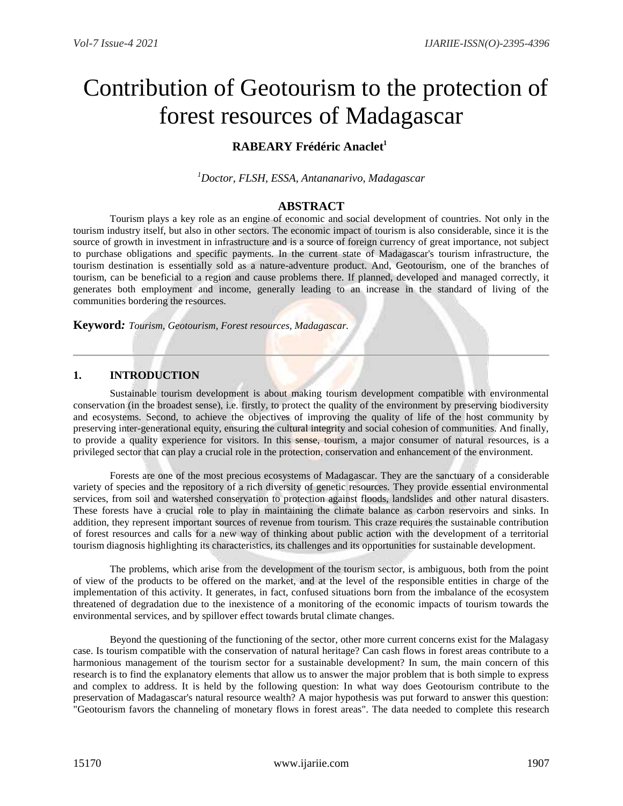# Contribution of Geotourism to the protection of forest resources of Madagascar

# **RABEARY Frédéric Anaclet<sup>1</sup>**

*<sup>1</sup>Doctor, FLSH, ESSA, Antananarivo, Madagascar*

# **ABSTRACT**

Tourism plays a key role as an engine of economic and social development of countries. Not only in the tourism industry itself, but also in other sectors. The economic impact of tourism is also considerable, since it is the source of growth in investment in infrastructure and is a source of foreign currency of great importance, not subject to purchase obligations and specific payments. In the current state of Madagascar's tourism infrastructure, the tourism destination is essentially sold as a nature-adventure product. And, Geotourism, one of the branches of tourism, can be beneficial to a region and cause problems there. If planned, developed and managed correctly, it generates both employment and income, generally leading to an increase in the standard of living of the communities bordering the resources.

**Keyword***: Tourism, Geotourism, Forest resources, Madagascar.*

## **1. INTRODUCTION**

Sustainable tourism development is about making tourism development compatible with environmental conservation (in the broadest sense), i.e. firstly, to protect the quality of the environment by preserving biodiversity and ecosystems. Second, to achieve the objectives of improving the quality of life of the host community by preserving inter-generational equity, ensuring the cultural integrity and social cohesion of communities. And finally, to provide a quality experience for visitors. In this sense, tourism, a major consumer of natural resources, is a privileged sector that can play a crucial role in the protection, conservation and enhancement of the environment.

Forests are one of the most precious ecosystems of Madagascar. They are the sanctuary of a considerable variety of species and the repository of a rich diversity of genetic resources. They provide essential environmental services, from soil and watershed conservation to protection against floods, landslides and other natural disasters. These forests have a crucial role to play in maintaining the climate balance as carbon reservoirs and sinks. In addition, they represent important sources of revenue from tourism. This craze requires the sustainable contribution of forest resources and calls for a new way of thinking about public action with the development of a territorial tourism diagnosis highlighting its characteristics, its challenges and its opportunities for sustainable development.

The problems, which arise from the development of the tourism sector, is ambiguous, both from the point of view of the products to be offered on the market, and at the level of the responsible entities in charge of the implementation of this activity. It generates, in fact, confused situations born from the imbalance of the ecosystem threatened of degradation due to the inexistence of a monitoring of the economic impacts of tourism towards the environmental services, and by spillover effect towards brutal climate changes.

Beyond the questioning of the functioning of the sector, other more current concerns exist for the Malagasy case. Is tourism compatible with the conservation of natural heritage? Can cash flows in forest areas contribute to a harmonious management of the tourism sector for a sustainable development? In sum, the main concern of this research is to find the explanatory elements that allow us to answer the major problem that is both simple to express and complex to address. It is held by the following question: In what way does Geotourism contribute to the preservation of Madagascar's natural resource wealth? A major hypothesis was put forward to answer this question: "Geotourism favors the channeling of monetary flows in forest areas". The data needed to complete this research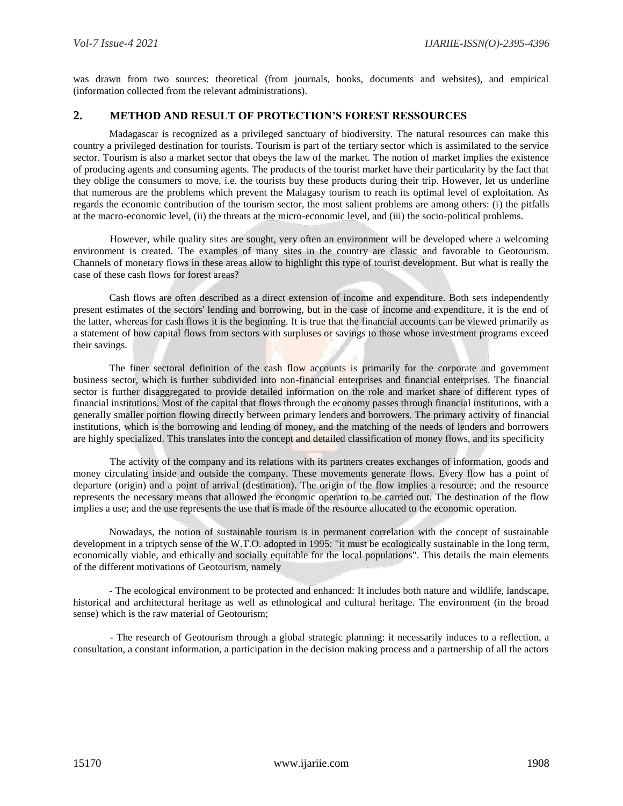was drawn from two sources: theoretical (from journals, books, documents and websites), and empirical (information collected from the relevant administrations).

#### **2. METHOD AND RESULT OF PROTECTION'S FOREST RESSOURCES**

Madagascar is recognized as a privileged sanctuary of biodiversity. The natural resources can make this country a privileged destination for tourists. Tourism is part of the tertiary sector which is assimilated to the service sector. Tourism is also a market sector that obeys the law of the market. The notion of market implies the existence of producing agents and consuming agents. The products of the tourist market have their particularity by the fact that they oblige the consumers to move, i.e. the tourists buy these products during their trip. However, let us underline that numerous are the problems which prevent the Malagasy tourism to reach its optimal level of exploitation. As regards the economic contribution of the tourism sector, the most salient problems are among others: (i) the pitfalls at the macro-economic level, (ii) the threats at the micro-economic level, and (iii) the socio-political problems.

However, while quality sites are sought, very often an environment will be developed where a welcoming environment is created. The examples of many sites in the country are classic and favorable to Geotourism. Channels of monetary flows in these areas allow to highlight this type of tourist development. But what is really the case of these cash flows for forest areas?

Cash flows are often described as a direct extension of income and expenditure. Both sets independently present estimates of the sectors' lending and borrowing, but in the case of income and expenditure, it is the end of the latter, whereas for cash flows it is the beginning. It is true that the financial accounts can be viewed primarily as a statement of how capital flows from sectors with surpluses or savings to those whose investment programs exceed their savings.

The finer sectoral definition of the cash flow accounts is primarily for the corporate and government business sector, which is further subdivided into non-financial enterprises and financial enterprises. The financial sector is further disaggregated to provide detailed information on the role and market share of different types of financial institutions. Most of the capital that flows through the economy passes through financial institutions, with a generally smaller portion flowing directly between primary lenders and borrowers. The primary activity of financial institutions, which is the borrowing and lending of money, and the matching of the needs of lenders and borrowers are highly specialized. This translates into the concept and detailed classification of money flows, and its specificity

The activity of the company and its relations with its partners creates exchanges of information, goods and money circulating inside and outside the company. These movements generate flows. Every flow has a point of departure (origin) and a point of arrival (destination). The origin of the flow implies a resource; and the resource represents the necessary means that allowed the economic operation to be carried out. The destination of the flow implies a use; and the use represents the use that is made of the resource allocated to the economic operation.

Nowadays, the notion of sustainable tourism is in permanent correlation with the concept of sustainable development in a triptych sense of the W.T.O. adopted in 1995: "it must be ecologically sustainable in the long term, economically viable, and ethically and socially equitable for the local populations". This details the main elements of the different motivations of Geotourism, namely

- The ecological environment to be protected and enhanced: It includes both nature and wildlife, landscape, historical and architectural heritage as well as ethnological and cultural heritage. The environment (in the broad sense) which is the raw material of Geotourism;

- The research of Geotourism through a global strategic planning: it necessarily induces to a reflection, a consultation, a constant information, a participation in the decision making process and a partnership of all the actors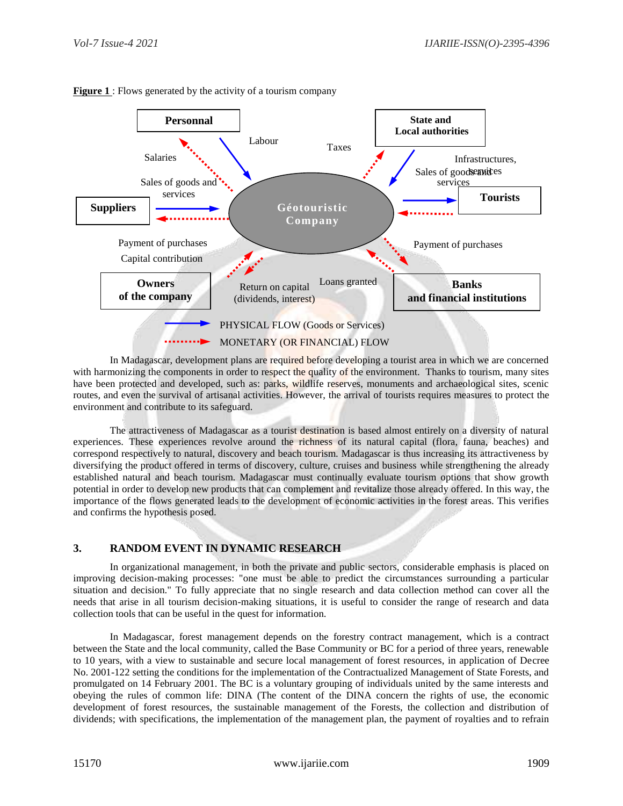

**Figure 1** : Flows generated by the activity of a tourism company

In Madagascar, development plans are required before developing a tourist area in which we are concerned with harmonizing the components in order to respect the quality of the environment. Thanks to tourism, many sites have been protected and developed, such as: parks, wildlife reserves, monuments and archaeological sites, scenic routes, and even the survival of artisanal activities. However, the arrival of tourists requires measures to protect the environment and contribute to its safeguard.

The attractiveness of Madagascar as a tourist destination is based almost entirely on a diversity of natural experiences. These experiences revolve around the richness of its natural capital (flora, fauna, beaches) and correspond respectively to natural, discovery and beach tourism. Madagascar is thus increasing its attractiveness by diversifying the product offered in terms of discovery, culture, cruises and business while strengthening the already established natural and beach tourism. Madagascar must continually evaluate tourism options that show growth potential in order to develop new products that can complement and revitalize those already offered. In this way, the importance of the flows generated leads to the development of economic activities in the forest areas. This verifies and confirms the hypothesis posed.

## **3. RANDOM EVENT IN DYNAMIC RESEARCH**

In organizational management, in both the private and public sectors, considerable emphasis is placed on improving decision-making processes: "one must be able to predict the circumstances surrounding a particular situation and decision." To fully appreciate that no single research and data collection method can cover all the needs that arise in all tourism decision-making situations, it is useful to consider the range of research and data collection tools that can be useful in the quest for information.

In Madagascar, forest management depends on the forestry contract management, which is a contract between the State and the local community, called the Base Community or BC for a period of three years, renewable to 10 years, with a view to sustainable and secure local management of forest resources, in application of Decree No. 2001-122 setting the conditions for the implementation of the Contractualized Management of State Forests, and promulgated on 14 February 2001. The BC is a voluntary grouping of individuals united by the same interests and obeying the rules of common life: DINA (The content of the DINA concern the rights of use, the economic development of forest resources, the sustainable management of the Forests, the collection and distribution of dividends; with specifications, the implementation of the management plan, the payment of royalties and to refrain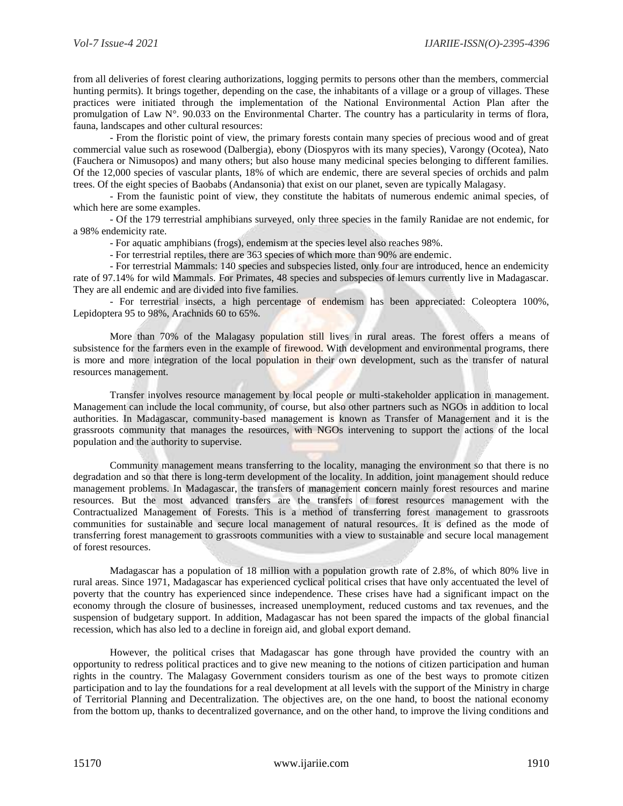from all deliveries of forest clearing authorizations, logging permits to persons other than the members, commercial hunting permits). It brings together, depending on the case, the inhabitants of a village or a group of villages. These practices were initiated through the implementation of the National Environmental Action Plan after the promulgation of Law  $N^{\circ}$ . 90.033 on the Environmental Charter. The country has a particularity in terms of flora, fauna, landscapes and other cultural resources:

- From the floristic point of view, the primary forests contain many species of precious wood and of great commercial value such as rosewood (Dalbergia), ebony (Diospyros with its many species), Varongy (Ocotea), Nato (Fauchera or Nimusopos) and many others; but also house many medicinal species belonging to different families. Of the 12,000 species of vascular plants, 18% of which are endemic, there are several species of orchids and palm trees. Of the eight species of Baobabs (Andansonia) that exist on our planet, seven are typically Malagasy.

- From the faunistic point of view, they constitute the habitats of numerous endemic animal species, of which here are some examples.

- Of the 179 terrestrial amphibians surveyed, only three species in the family Ranidae are not endemic, for a 98% endemicity rate.

- For aquatic amphibians (frogs), endemism at the species level also reaches 98%.

- For terrestrial reptiles, there are 363 species of which more than 90% are endemic.

- For terrestrial Mammals: 140 species and subspecies listed, only four are introduced, hence an endemicity rate of 97.14% for wild Mammals. For Primates, 48 species and subspecies of lemurs currently live in Madagascar. They are all endemic and are divided into five families.

- For terrestrial insects, a high percentage of endemism has been appreciated: Coleoptera 100%, Lepidoptera 95 to 98%, Arachnids 60 to 65%.

More than 70% of the Malagasy population still lives in rural areas. The forest offers a means of subsistence for the farmers even in the example of firewood. With development and environmental programs, there is more and more integration of the local population in their own development, such as the transfer of natural resources management.

Transfer involves resource management by local people or multi-stakeholder application in management. Management can include the local community, of course, but also other partners such as NGOs in addition to local authorities. In Madagascar, community-based management is known as Transfer of Management and it is the grassroots community that manages the resources, with NGOs intervening to support the actions of the local population and the authority to supervise.

Community management means transferring to the locality, managing the environment so that there is no degradation and so that there is long-term development of the locality. In addition, joint management should reduce management problems. In Madagascar, the transfers of management concern mainly forest resources and marine resources. But the most advanced transfers are the transfers of forest resources management with the Contractualized Management of Forests. This is a method of transferring forest management to grassroots communities for sustainable and secure local management of natural resources. It is defined as the mode of transferring forest management to grassroots communities with a view to sustainable and secure local management of forest resources.

Madagascar has a population of 18 million with a population growth rate of 2.8%, of which 80% live in rural areas. Since 1971, Madagascar has experienced cyclical political crises that have only accentuated the level of poverty that the country has experienced since independence. These crises have had a significant impact on the economy through the closure of businesses, increased unemployment, reduced customs and tax revenues, and the suspension of budgetary support. In addition, Madagascar has not been spared the impacts of the global financial recession, which has also led to a decline in foreign aid, and global export demand.

However, the political crises that Madagascar has gone through have provided the country with an opportunity to redress political practices and to give new meaning to the notions of citizen participation and human rights in the country. The Malagasy Government considers tourism as one of the best ways to promote citizen participation and to lay the foundations for a real development at all levels with the support of the Ministry in charge of Territorial Planning and Decentralization. The objectives are, on the one hand, to boost the national economy from the bottom up, thanks to decentralized governance, and on the other hand, to improve the living conditions and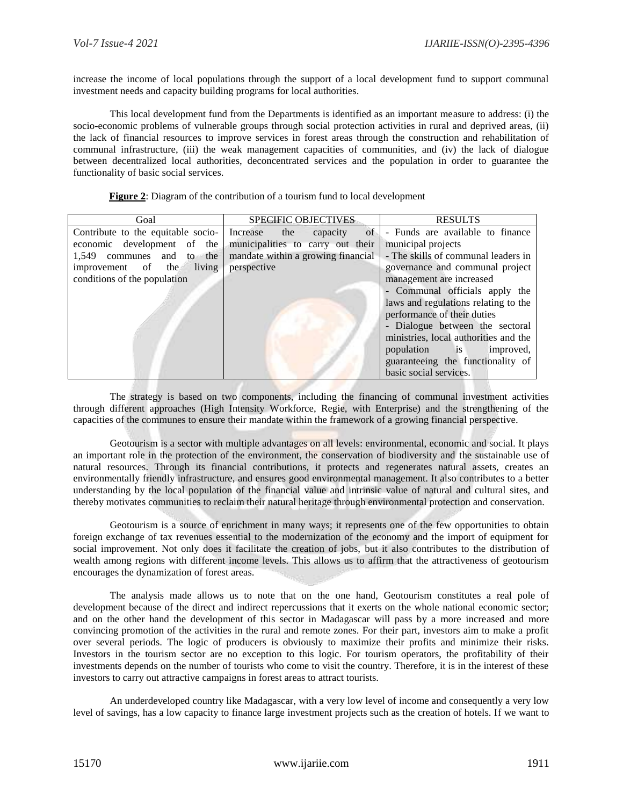increase the income of local populations through the support of a local development fund to support communal investment needs and capacity building programs for local authorities.

This local development fund from the Departments is identified as an important measure to address: (i) the socio-economic problems of vulnerable groups through social protection activities in rural and deprived areas, (ii) the lack of financial resources to improve services in forest areas through the construction and rehabilitation of communal infrastructure, (iii) the weak management capacities of communities, and (iv) the lack of dialogue between decentralized local authorities, deconcentrated services and the population in order to guarantee the functionality of basic social services.

**Figure 2**: Diagram of the contribution of a tourism fund to local development

| Goal                               | <b>SPECIFIC OBJECTIVES</b>         | <b>RESULTS</b>                        |
|------------------------------------|------------------------------------|---------------------------------------|
| Contribute to the equitable socio- | of<br>the<br>capacity<br>Increase  | - Funds are available to finance      |
| economic development of the        | municipalities to carry out their  | municipal projects                    |
| 1.549<br>communes and to the       | mandate within a growing financial | - The skills of communal leaders in   |
| living<br>improvement of the       | perspective                        | governance and communal project       |
| conditions of the population       |                                    | management are increased              |
|                                    |                                    | - Communal officials apply the        |
|                                    |                                    | laws and regulations relating to the  |
|                                    |                                    | performance of their duties           |
|                                    |                                    | - Dialogue between the sectoral       |
|                                    |                                    | ministries, local authorities and the |
|                                    |                                    | population is<br>improved,            |
|                                    |                                    | guaranteeing the functionality of     |
|                                    |                                    | basic social services.                |

The strategy is based on two components, including the financing of communal investment activities through different approaches (High Intensity Workforce, Regie, with Enterprise) and the strengthening of the capacities of the communes to ensure their mandate within the framework of a growing financial perspective.

Geotourism is a sector with multiple advantages on all levels: environmental, economic and social. It plays an important role in the protection of the environment, the conservation of biodiversity and the sustainable use of natural resources. Through its financial contributions, it protects and regenerates natural assets, creates an environmentally friendly infrastructure, and ensures good environmental management. It also contributes to a better understanding by the local population of the financial value and intrinsic value of natural and cultural sites, and thereby motivates communities to reclaim their natural heritage through environmental protection and conservation.

Geotourism is a source of enrichment in many ways; it represents one of the few opportunities to obtain foreign exchange of tax revenues essential to the modernization of the economy and the import of equipment for social improvement. Not only does it facilitate the creation of jobs, but it also contributes to the distribution of wealth among regions with different income levels. This allows us to affirm that the attractiveness of geotourism encourages the dynamization of forest areas.

The analysis made allows us to note that on the one hand, Geotourism constitutes a real pole of development because of the direct and indirect repercussions that it exerts on the whole national economic sector; and on the other hand the development of this sector in Madagascar will pass by a more increased and more convincing promotion of the activities in the rural and remote zones. For their part, investors aim to make a profit over several periods. The logic of producers is obviously to maximize their profits and minimize their risks. Investors in the tourism sector are no exception to this logic. For tourism operators, the profitability of their investments depends on the number of tourists who come to visit the country. Therefore, it is in the interest of these investors to carry out attractive campaigns in forest areas to attract tourists.

An underdeveloped country like Madagascar, with a very low level of income and consequently a very low level of savings, has a low capacity to finance large investment projects such as the creation of hotels. If we want to